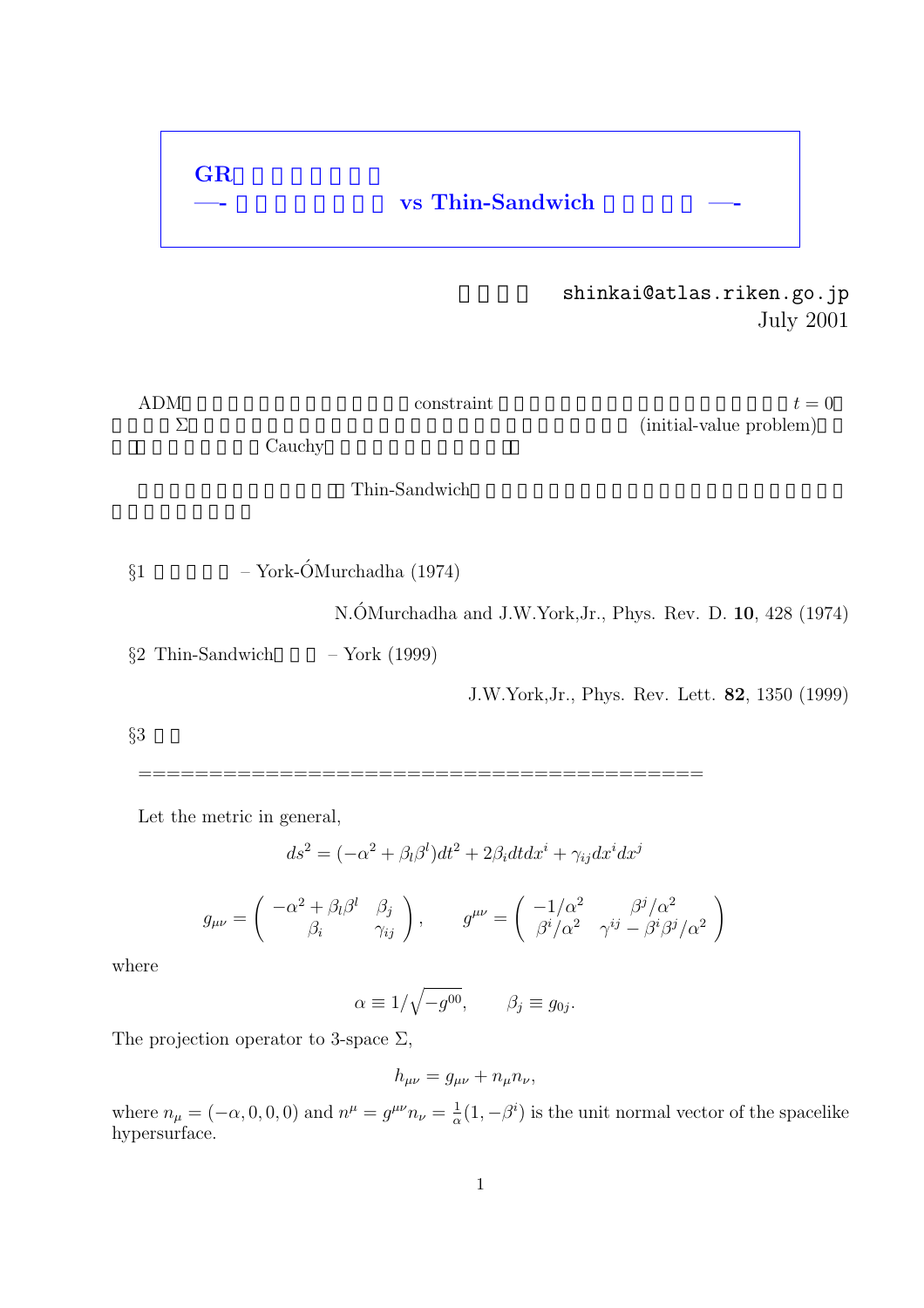# $\overline{\text{vs}}$  Thin-Sandwich

shinkai@atlas.riken.go.jp July 2001

ADM形式での初期値を決める方法は,constraint 方程式を解くことに帰着されていた.初期t = 0 の超曲面Σでの物理量を決めるという意味で,このことを初期値設定問題 (initial-value problem)とい う.(これはいわゆるCauchy問題という意味ではない. ここでは,最近提案された, Thin-Sandwich方法」を,従来の「共形的アプローチ」と比較しなが §1 従来の方法 – York-OMurchadha (1974) ´ N.OMurchadha and J.W.York,Jr., Phys. Rev. D. ´ **10**, 428 (1974) §2 Thin-Sandwichの方法 – York (1999) J.W.York,Jr., Phys. Rev. Lett. **82**, 1350 (1999) §3 考察

Let the metric in general,

**GR**の初期値設定問題

$$
ds^2=(-\alpha^2+\beta_l\beta^l)dt^2+2\beta_i dtdx^i+\gamma_{ij}dx^idx^j
$$

========================================

$$
g_{\mu\nu} = \begin{pmatrix} -\alpha^2 + \beta_l \beta^l & \beta_j \\ \beta_i & \gamma_{ij} \end{pmatrix}, \qquad g^{\mu\nu} = \begin{pmatrix} -1/\alpha^2 & \beta^j/\alpha^2 \\ \beta^i/\alpha^2 & \gamma^{ij} - \beta^i \beta^j/\alpha^2 \end{pmatrix}
$$

where

 $\alpha \equiv 1/\sqrt{-g^{00}}, \qquad \beta_j \equiv g_{0j}.$ 

The projection operator to 3-space  $\Sigma$ ,

$$
h_{\mu\nu} = g_{\mu\nu} + n_{\mu}n_{\nu},
$$

where  $n_{\mu} = (-\alpha, 0, 0, 0)$  and  $n^{\mu} = g^{\mu\nu} n_{\nu} = \frac{1}{\alpha} (1, -\beta^i)$  is the unit normal vector of the spacelike hypersurface.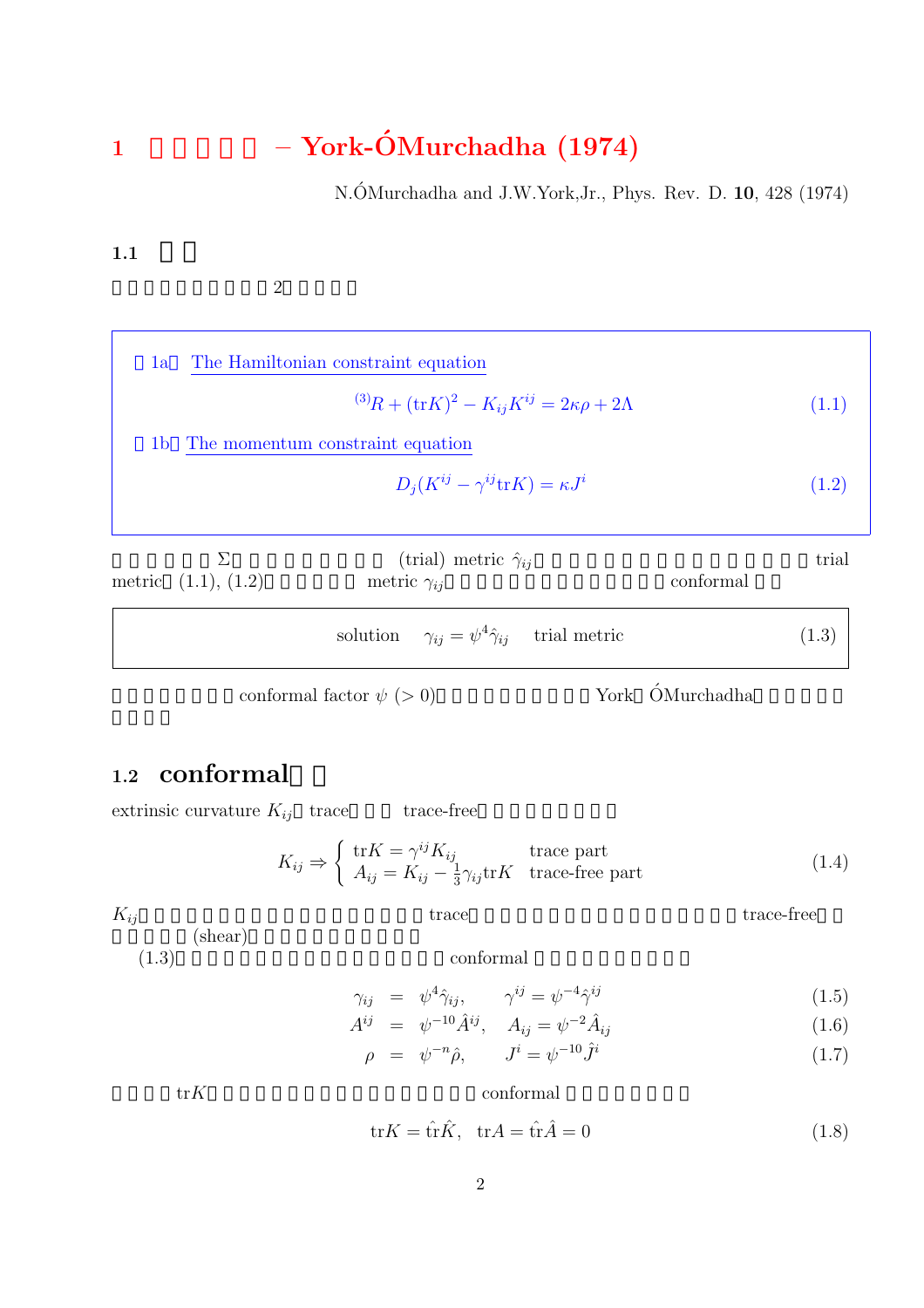# **<sup>1</sup>** 従来の方法 **– York-OMurchadha (1974) ´**

N.ÓMurchadha and J.W.York, Jr., Phys. Rev. D. **10**, 428 (1974)

 $1.1$ 

 $\overline{2}$ 

| 1a             |                       | The Hamiltonian constraint equation                                |           |       |
|----------------|-----------------------|--------------------------------------------------------------------|-----------|-------|
|                |                       | $^{(3)}R + (\text{tr}K)^2 - K_{ij}K^{ij} = 2\kappa\rho + 2\Lambda$ |           | (1.1) |
| 1 <sub>b</sub> |                       | The momentum constraint equation                                   |           |       |
|                |                       | $D_i(K^{ij} - \gamma^{ij} \text{tr} K) = \kappa J^i$               |           | (1.2) |
|                |                       |                                                                    |           |       |
|                | У.                    | (trial) metric $\hat{\gamma}_{ii}$                                 |           | trial |
|                | metric $(1.1), (1.2)$ | metric $\gamma_{ij}$                                               | conformal |       |
|                |                       | solution $\gamma_{ij} = \psi^4 \hat{\gamma}_{ij}$ trial metric     |           | (1.3) |

を仮定し,適当なconformal factor ψ (> 0)を求める,というのがYork OMurchadha ´ のアイディア

### 1.2 **conformal**

(shear)

extrinsic curvature  $K_{ij}$  trace trace-free

$$
K_{ij} \Rightarrow \begin{cases} \text{tr}K = \gamma^{ij} K_{ij} & \text{trace part} \\ A_{ij} = K_{ij} - \frac{1}{3} \gamma_{ij} \text{tr}K & \text{trace-free part} \end{cases}
$$
 (1.4)

 $K_{ij}$  trace trace trace-free

#### $(1.3)$  conformal

$$
\gamma_{ij} = \psi^4 \hat{\gamma}_{ij}, \qquad \gamma^{ij} = \psi^{-4} \hat{\gamma}^{ij} \tag{1.5}
$$

$$
A^{ij} = \psi^{-10} \hat{A}^{ij}, \quad A_{ij} = \psi^{-2} \hat{A}_{ij} \tag{1.6}
$$

$$
\rho = \psi^{-n} \hat{\rho}, \qquad J^i = \psi^{-10} \hat{J}^i \tag{1.7}
$$

 ${\rm tr}K \hskip 1in {\rm conformal}$ 

 $\text{tr}K = \hat{\text{tr}}\hat{K}, \quad \text{tr}A = \hat{\text{tr}}\hat{A} = 0$  (1.8)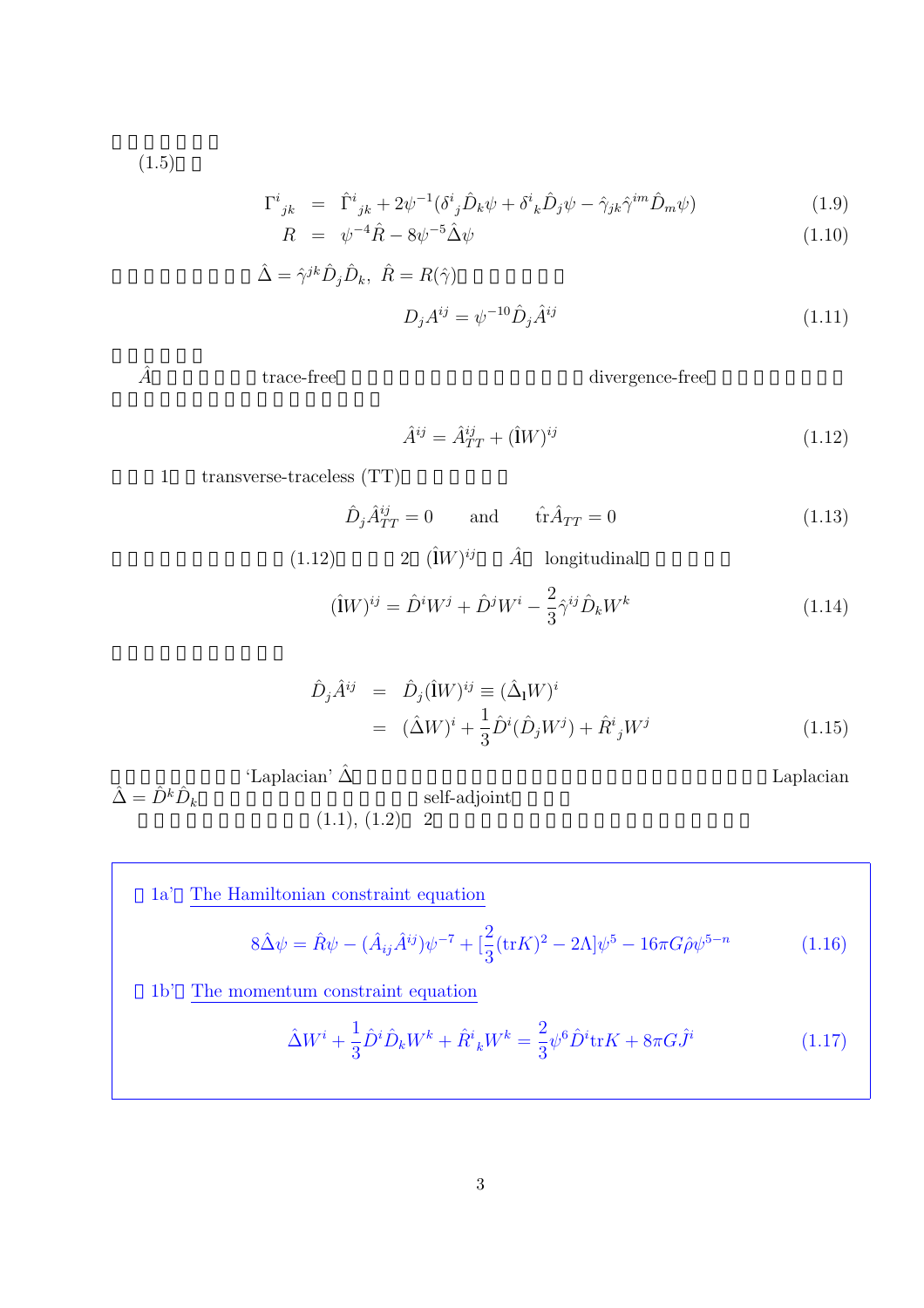$(1.5)$ 

 $\hat{\Delta} = \hat{D}^k \hat{D}_k$ 

$$
\Gamma^{i}{}_{jk} = \hat{\Gamma}^{i}{}_{jk} + 2\psi^{-1} (\delta^{i}{}_{j} \hat{D}_{k} \psi + \delta^{i}{}_{k} \hat{D}_{j} \psi - \hat{\gamma}_{jk} \hat{\gamma}^{im} \hat{D}_{m} \psi) \tag{1.9}
$$

$$
R = \psi^{-4}\hat{R} - 8\psi^{-5}\hat{\Delta}\psi \tag{1.10}
$$

$$
\hat{\Delta} = \hat{\gamma}^{jk} \hat{D}_j \hat{D}_k, \ \hat{R} = R(\hat{\gamma})
$$

$$
D_j A^{ij} = \psi^{-10} \hat{D}_j \hat{A}^{ij}
$$
(1.11)

 $\hat{A} \hspace{1.5cm} \mbox{trace-free} \hspace{1.5cm} \mbox{divergence-free}$ 

$$
\hat{A}^{ij} = \hat{A}^{ij}_{TT} + (\hat{I}W)^{ij} \tag{1.12}
$$

1 transverse-traceless (TT)

$$
\hat{D}_j \hat{A}_{TT}^{ij} = 0 \quad \text{and} \quad \hat{\text{tr}} \hat{A}_{TT} = 0 \tag{1.13}
$$

(1.12) 
$$
2 \quad (\hat{\mathbf{i}}W)^{ij} \qquad \hat{A} \qquad \text{longitudinal}
$$

$$
(\hat{\mathbf{i}}W)^{ij} = \hat{D}^iW^j + \hat{D}^jW^i - \frac{2}{3}\hat{\gamma}^{ij}\hat{D}_kW^k
$$
(1.14)

$$
\hat{D}_j \hat{A}^{ij} = \hat{D}_j (\hat{\mathbf{i}} W)^{ij} \equiv (\hat{\Delta}_{\mathbf{i}} W)^i \n= (\hat{\Delta} W)^i + \frac{1}{3} \hat{D}^i (\hat{D}_j W^j) + \hat{R}^i{}_j W^j
$$
\n(1.15)

$$
\hat{\Delta} = \hat{D}^k \hat{D}_k
$$
\nLaplacian  
\n $(1.1), (1.2)$   $2$   $(2.2)$   $2$   $(3.1)$   $(4.2)$   $(4.2)$   $(4.2)$   $(4.2)$   $(4.2)$   $(4.2)$   $(4.2)$   $(4.2)$   $(4.2)$   $(4.2)$   $(4.2)$   $(4.2)$   $(4.2)$   $(4.2)$   $(4.2)$   $(4.2)$   $(4.2)$   $(4.2)$   $(4.2)$   $(4.2)$   $(4.2)$   $(4.2)$   $(4.2)$   $(4.2)$   $(4.2)$   $(4.2)$   $(4.2)$   $(4.2)$   $(4.2)$   $(4.2)$   $(4.2)$   $(4.2)$   $(4.2)$   $(4.2)$   $(4.2)$   $(4.2)$   $(4.2)$   $(4.2)$   $(4.2)$   $(4.2)$   $(4.2)$   $(4.2)$   $(4.2)$   $(4.2)$   $(4.2)$   $(4.2)$   $(4.2)$   $(4.2)$   $(4.2)$   $(4.2)$   $(4.2)$   $(4.2)$   $(4.2)$   $(4.2)$   $(4.2)$   $(4.$ 

1a' The Hamiltonian constraint equation  
\n
$$
8\hat{\Delta}\psi = \hat{R}\psi - (\hat{A}_{ij}\hat{A}^{ij})\psi^{-7} + \left[\frac{2}{3}(\text{tr}K)^2 - 2\Lambda\right]\psi^5 - 16\pi G\hat{\rho}\psi^{5-n}
$$
\n(1.16)

1b' The momentum constraint equation

$$
\hat{\Delta}W^{i} + \frac{1}{3}\hat{D}^{i}\hat{D}_{k}W^{k} + \hat{R}^{i}{}_{k}W^{k} = \frac{2}{3}\psi^{6}\hat{D}^{i}\text{tr}K + 8\pi G\hat{J}^{i}
$$
\n(1.17)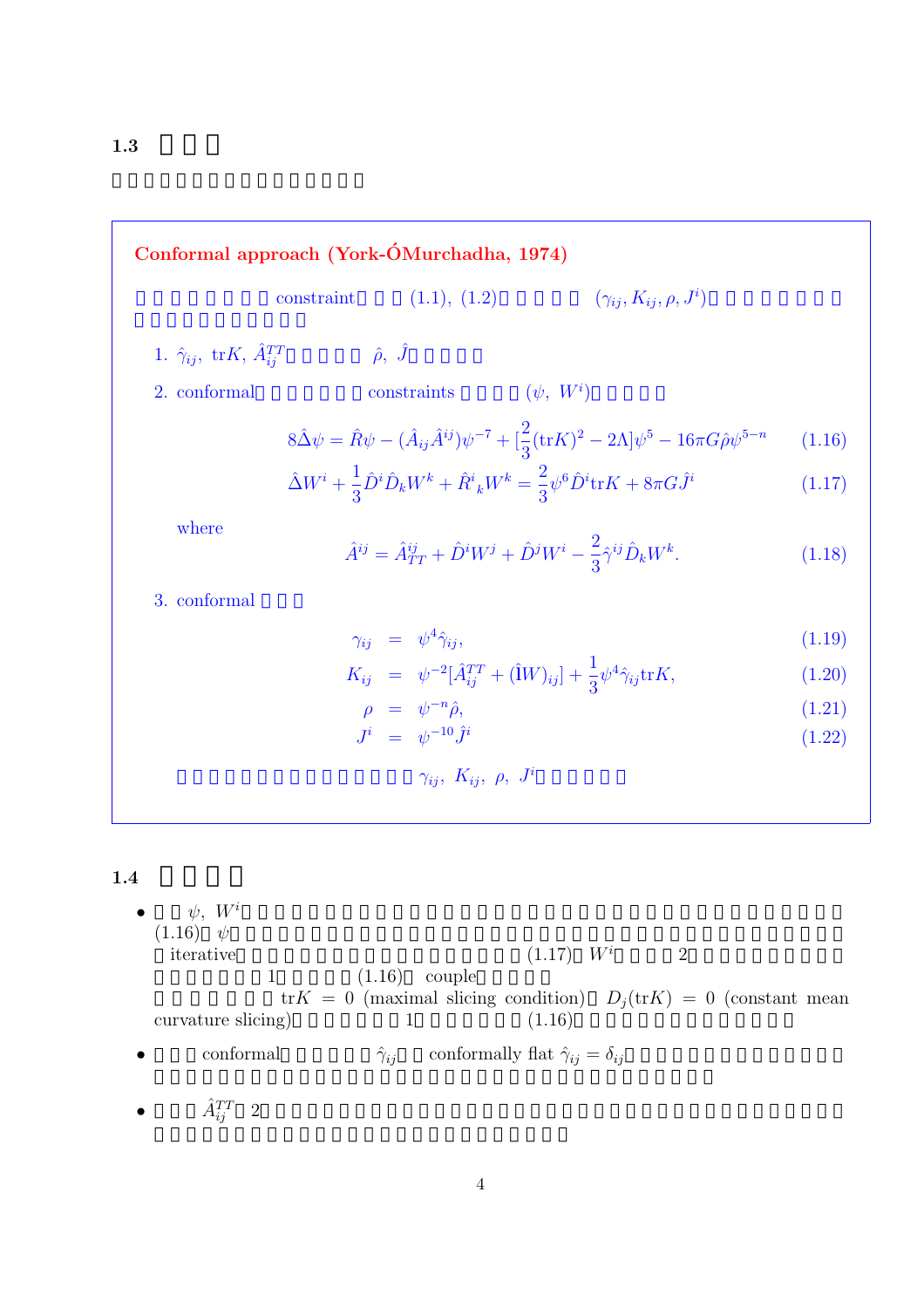**Conformal approach (York-ÓMurchadha, 1974)**  
\nconstraint (1.1), (1.2) 
$$
(\gamma_{ij}, K_{ij}, \rho, J^i)
$$
  
\n1.  $\hat{\gamma}_{ij}$ , trK,  $\hat{A}_{ij}^{TT}$   $\hat{\rho}$ ,  $\hat{J}$   
\n2. conformal constraints  $(\psi, W^i)$   
\n $8\hat{\Delta}\psi = \hat{R}\psi - (\hat{A}_{ij}\hat{A}^{ij})\psi^{-7} + [\frac{2}{3}(\text{tr}K)^2 - 2\Lambda]\psi^5 - 16\pi G\hat{\rho}\psi^{5-n}$  (1.16)  
\n $\hat{\Delta}W^i + \frac{1}{3}\hat{D}^i\hat{D}_kW^k + \hat{R}^i{}_kW^k = \frac{2}{3}\psi^6\hat{D}^i\text{tr}K + 8\pi G\hat{J}^i$  (1.17)  
\nwhere  
\n $\hat{A}^{ij} = \hat{A}_{TT}^{ij} + \hat{D}^iW^j + \hat{D}^jW^i - \frac{2}{3}\hat{\gamma}^{ij}\hat{D}_kW^k$ . (1.18)  
\n3. conformal  
\n $\gamma_{ij} = \psi^4\hat{\gamma}_{ij}$ ,  
\n $K_{ij} = \psi^{-2}[\hat{A}_{ij}^{TT} + (\hat{W})_{ij}] + \frac{1}{3}\psi^4\hat{\gamma}_{ij}\text{tr}K$ , (1.20)  
\n $\rho = \psi^{-n}\hat{\rho}$ , (1.21)  
\n $\gamma_{ij}$ ,  $K_{ij}$ ,  $\rho$ ,  $J^i$   
\n1.4  
\n•  $\psi$ ,  $W^i$   
\n(1.16)  $\psi$   
\niterative  
\n1.16) couple  
\ntr $K = 0$  (maximal slicing condition)  $D_j(\text{tr}K) = 0$  (constant mean  
\ncurvature slicing) 1 (1.16)

1

- conformal  $\hat{\gamma}_{ij}$  conformally flat  $\hat{\gamma}_{ij} = \delta_{ij}$
- $\hat{A}_{ij}^{TT}$  2  $\frac{TT}{ij}$  2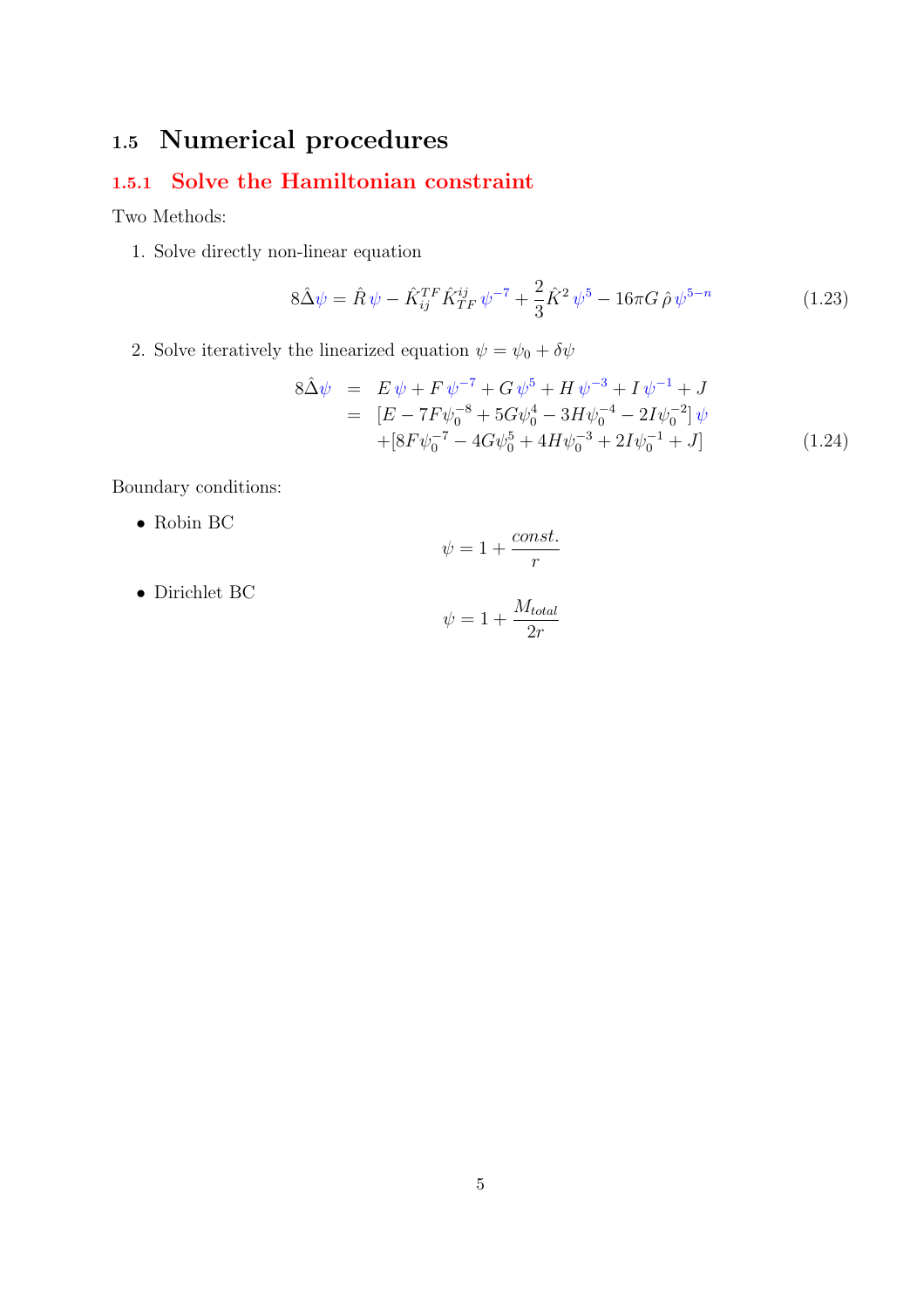# **1.5 Numerical procedures**

### **1.5.1 Solve the Hamiltonian constraint**

Two Methods:

1. Solve directly non-linear equation

$$
8\hat{\Delta}\psi = \hat{R}\psi - \hat{K}_{ij}^{TF}\hat{K}_{TF}^{ij}\psi^{-7} + \frac{2}{3}\hat{K}^2\psi^5 - 16\pi G\,\hat{\rho}\,\psi^{5-n} \tag{1.23}
$$

2. Solve iteratively the linearized equation  $\psi=\psi_0+\delta\psi$ 

$$
8\hat{\Delta}\psi = E \psi + F \psi^{-7} + G \psi^5 + H \psi^{-3} + I \psi^{-1} + J
$$
  
= 
$$
[E - 7F\psi_0^{-8} + 5G\psi_0^4 - 3H\psi_0^{-4} - 2I\psi_0^{-2}] \psi
$$
  
+ 
$$
[8F\psi_0^{-7} - 4G\psi_0^5 + 4H\psi_0^{-3} + 2I\psi_0^{-1} + J]
$$
(1.24)

Boundary conditions:

• Robin BC

$$
\psi = 1 + \frac{const.}{r}
$$

• Dirichlet BC

$$
\psi = 1 + \frac{M_{total}}{2r}
$$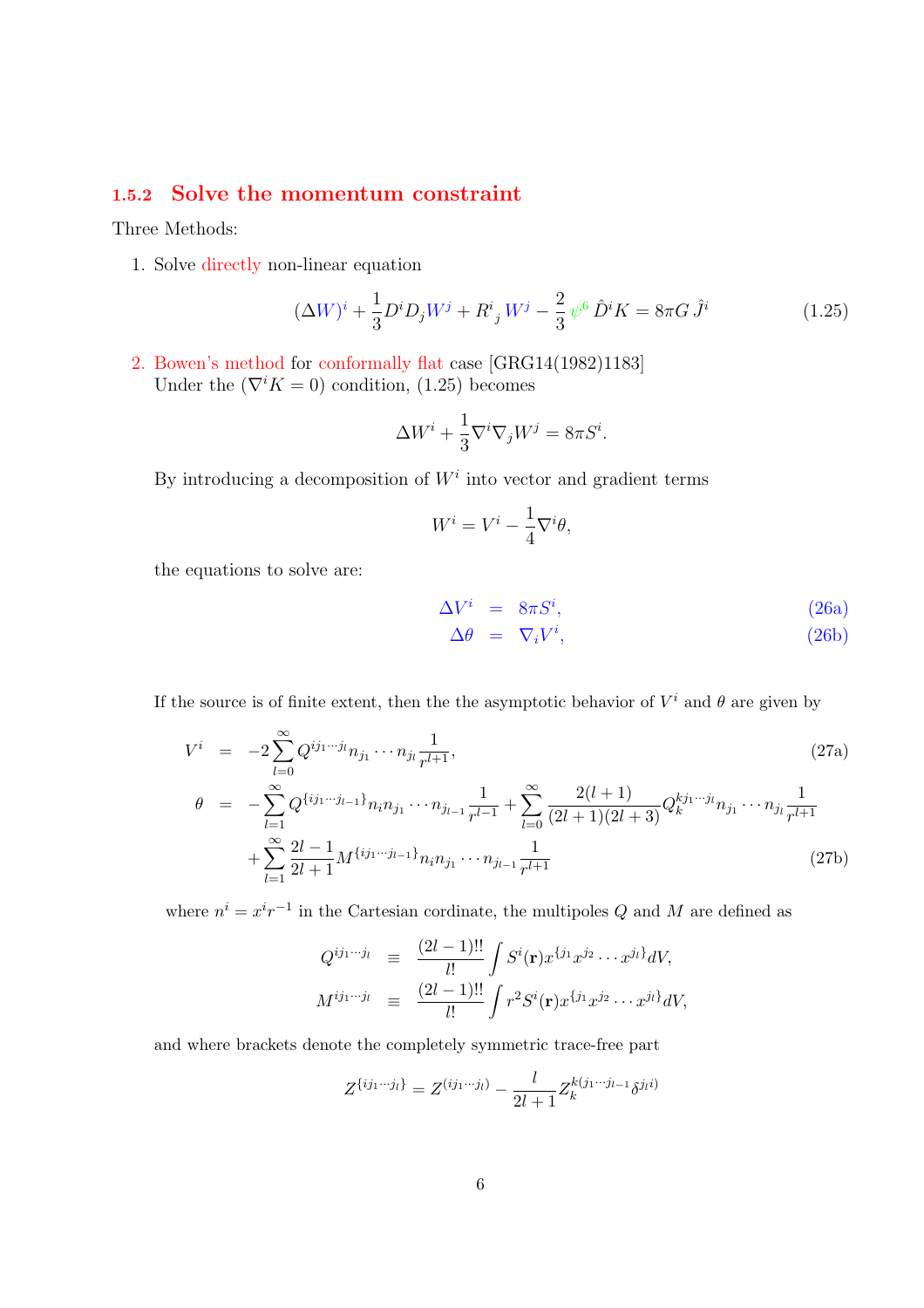#### **1.5.2 Solve the momentum constraint**

Three Methods:

1. Solve directly non-linear equation

$$
(\Delta W)^{i} + \frac{1}{3}D^{i}D_{j}W^{j} + R^{i}{}_{j}W^{j} - \frac{2}{3}\psi^{6}\hat{D}^{i}K = 8\pi G\hat{J}^{i}
$$
 (1.25)

2. Bowen's method for conformally flat case [GRG14(1982)1183] Under the  $(\nabla^i K = 0)$  condition, (1.25) becomes

$$
\Delta W^i + \frac{1}{3} \nabla^i \nabla_j W^j = 8\pi S^i.
$$

By introducing a decomposition of  $W^i$  into vector and gradient terms

$$
W^i = V^i - \frac{1}{4} \nabla^i \theta,
$$

the equations to solve are:

$$
\Delta V^i = 8\pi S^i, \n\Delta \theta = \nabla_i V^i, \tag{26a}
$$

If the source is of finite extent, then the the asymptotic behavior of  $V^i$  and  $\theta$  are given by

$$
V^{i} = -2\sum_{l=0}^{\infty} Q^{ij_{1}\cdots j_{l}} n_{j_{1}} \cdots n_{j_{l}} \frac{1}{r^{l+1}},
$$
\n
$$
\theta = -\sum_{l=1}^{\infty} Q^{\{ij_{1}\cdots j_{l-1}\}} n_{i} n_{j_{1}} \cdots n_{j_{l-1}} \frac{1}{r^{l-1}} + \sum_{l=0}^{\infty} \frac{2(l+1)}{(2l+1)(2l+3)} Q^{\{ij_{1}\cdots j_{l}}}_{k} n_{j_{1}} \cdots n_{j_{l}} \frac{1}{r^{l+1}}
$$
\n
$$
+ \sum_{l=1}^{\infty} \frac{2l-1}{2l+1} M^{\{ij_{1}\cdots j_{l-1}\}} n_{i} n_{j_{1}} \cdots n_{j_{l-1}} \frac{1}{r^{l+1}}
$$
\n(27b)

where  $n^{i} = x^{i} r^{-1}$  in the Cartesian cordinate, the multipoles Q and M are defined as

$$
Q^{ij_1\cdots j_l} \equiv \frac{(2l-1)!!}{l!} \int S^i(\mathbf{r}) x^{\{j_1} x^{j_2} \cdots x^{j_l\}} dV,
$$
  

$$
M^{ij_1\cdots j_l} \equiv \frac{(2l-1)!!}{l!} \int r^2 S^i(\mathbf{r}) x^{\{j_1} x^{j_2} \cdots x^{j_l\}} dV,
$$

and where brackets denote the completely symmetric trace-free part

$$
Z^{\{ij_1\cdots j_l\}} = Z^{(ij_1\cdots j_l)} - \frac{l}{2l+1} Z_k^{k(j_1\cdots j_{l-1}} \delta^{j_l i)}
$$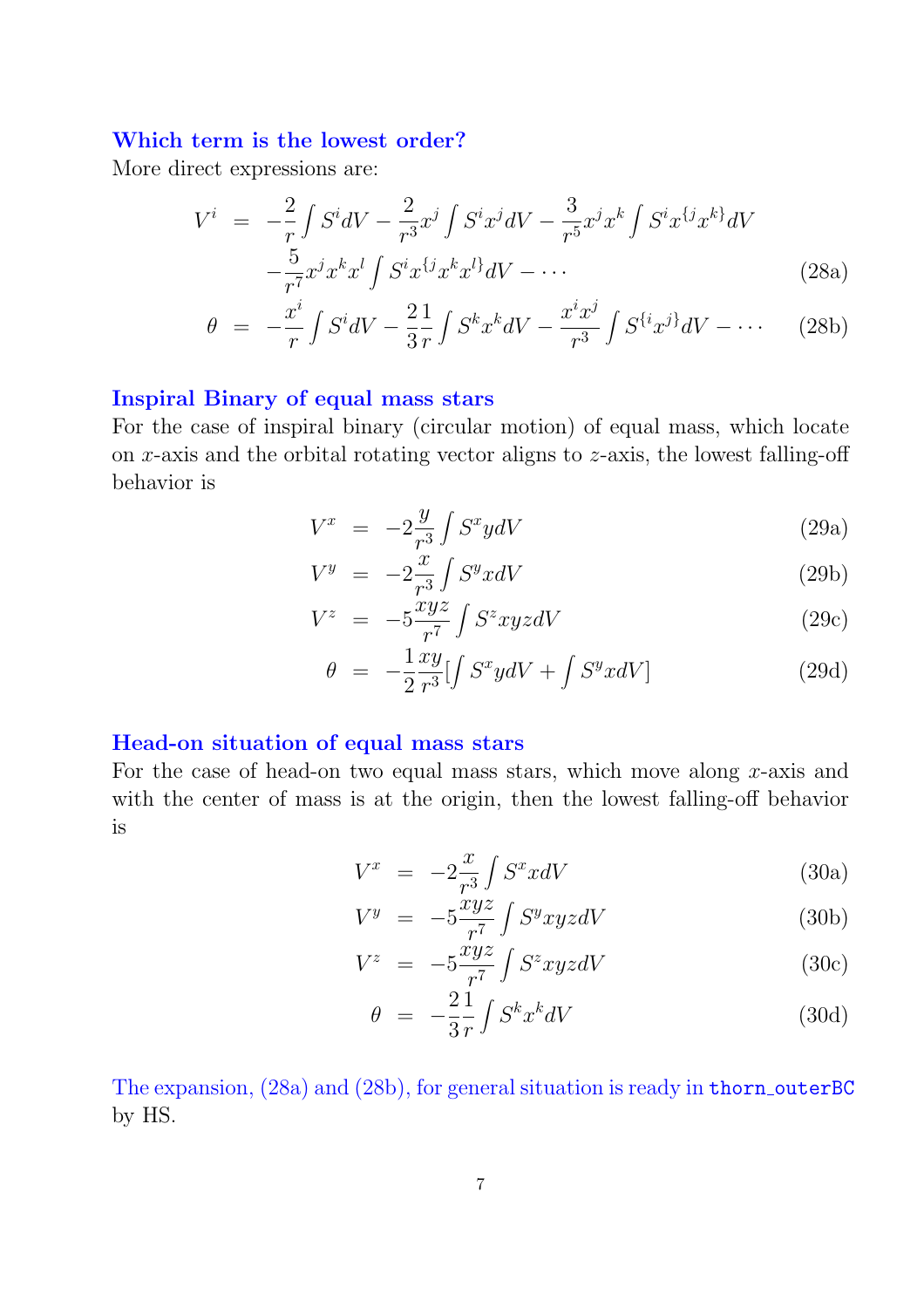#### **Which term is the lowest order?**

More direct expressions are:

$$
V^{i} = -\frac{2}{r} \int S^{i}dV - \frac{2}{r^{3}}x^{j} \int S^{i}x^{j}dV - \frac{3}{r^{5}}x^{j}x^{k} \int S^{i}x^{\{j}x^{k\}}dV - \frac{5}{r^{7}}x^{j}x^{k}x^{l} \int S^{i}x^{\{j}x^{k}x^{l\}}dV - \cdots
$$
\n(28a)

$$
\theta = -\frac{x^i}{r} \int S^i dV - \frac{2}{3} \frac{1}{r} \int S^k x^k dV - \frac{x^i x^j}{r^3} \int S^{\{i}x^{j\}} dV - \cdots \tag{28b}
$$

#### **Inspiral Binary of equal mass stars**

For the case of inspiral binary (circular motion) of equal mass, which locate on  $x$ -axis and the orbital rotating vector aligns to  $z$ -axis, the lowest falling-off behavior is

$$
V^x = -2\frac{y}{r^3} \int S^x y dV \tag{29a}
$$

$$
V^y = -2\frac{x}{r^3} \int S^y x dV \tag{29b}
$$

$$
V^{z} = -5 \frac{xyz}{r^{7}} \int S^{z} xyz dV \qquad (29c)
$$

$$
\theta = -\frac{1}{2} \frac{xy}{r^3} \left[ \int S^x y dV + \int S^y x dV \right] \tag{29d}
$$

#### **Head-on situation of equal mass stars**

For the case of head-on two equal mass stars, which move along x-axis and with the center of mass is at the origin, then the lowest falling-off behavior is

$$
V^x = -2\frac{x}{r^3} \int S^x x dV \tag{30a}
$$

$$
V^y = -5 \frac{xyz}{r^7} \int S^y xyz dV \tag{30b}
$$

$$
V^{z} = -5 \frac{\dot{x} y z}{r^{7}} \int S^{z} xyz dV \qquad (30c)
$$

$$
\theta = -\frac{2}{3} \frac{1}{r} \int S^k x^k dV \tag{30d}
$$

The expansion, (28a) and (28b), for general situation is ready in thorn outerBC by HS.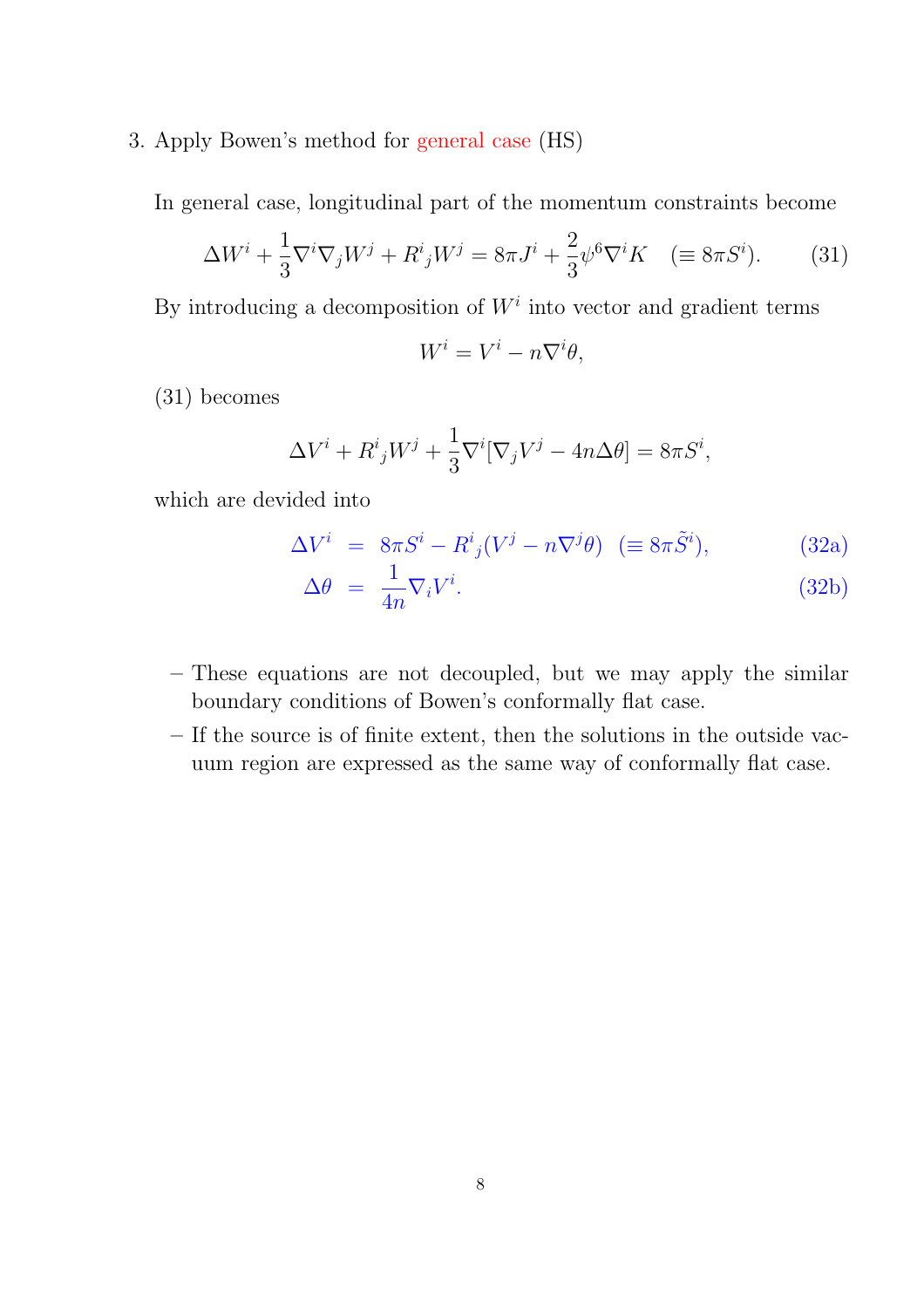3. Apply Bowen's method for general case (HS)

In general case, longitudinal part of the momentum constraints become

$$
\Delta W^i + \frac{1}{3} \nabla^i \nabla_j W^j + R^i{}_j W^j = 8\pi J^i + \frac{2}{3} \psi^6 \nabla^i K \quad (\equiv 8\pi S^i). \tag{31}
$$

By introducing a decomposition of  $W<sup>i</sup>$  into vector and gradient terms

$$
W^i = V^i - n\nabla^i\theta,
$$

(31) becomes

$$
\Delta V^{i} + R^{i}_{j}W^{j} + \frac{1}{3}\nabla^{i}[\nabla_{j}V^{j} - 4n\Delta\theta] = 8\pi S^{i},
$$

which are devided into

$$
\Delta V^i = 8\pi S^i - R^i{}_j (V^j - n\nabla^j \theta) \ \ (\equiv 8\pi \tilde{S}^i), \tag{32a}
$$

$$
\Delta \theta = \frac{1}{4n} \nabla_i V^i. \tag{32b}
$$

- **–** These equations are not decoupled, but we may apply the similar boundary conditions of Bowen's conformally flat case.
- **–** If the source is of finite extent, then the solutions in the outside vacuum region are expressed as the same way of conformally flat case.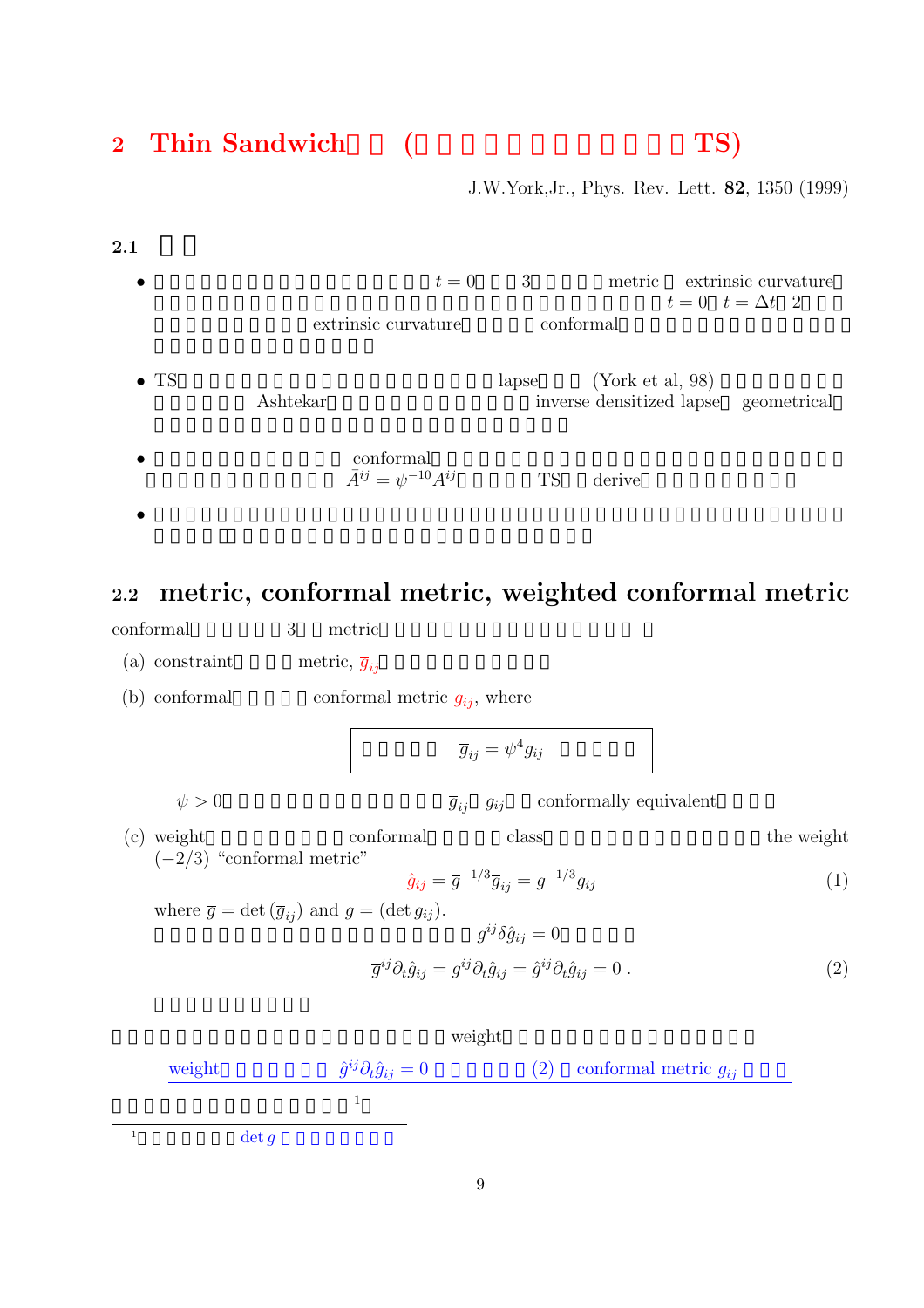# 2 Thin Sandwich (TS)

J.W.York,Jr., Phys. Rev. Lett. **82**, 1350 (1999)

 $2.1$ •  $t = 0$  3 metric extrinsic curvature  $t = 0$   $t = \Delta t$  2 extrinsic curvature conformal • TS  $\blacksquare$  apse  $(York et al, 98)$ Ashtekar inverse densitized lapse geometrical  $\bullet$  conformal  $\bar{A}^{ij} = \psi^{-10} A^{ij}$  TS derive  $\bullet$  -  $\bullet$  -  $\bullet$  -  $\bullet$  -  $\bullet$  -  $\bullet$  -  $\bullet$  -  $\bullet$  -  $\bullet$  -  $\bullet$  -  $\bullet$  -  $\bullet$  -  $\bullet$  -  $\bullet$  -  $\bullet$  -  $\bullet$  -  $\bullet$  -  $\bullet$  -  $\bullet$  -  $\bullet$  -  $\bullet$  -  $\bullet$  -  $\bullet$  -  $\bullet$  -  $\bullet$  -  $\bullet$  -  $\bullet$  -  $\bullet$  -  $\bullet$  -  $\bullet$  -  $\bullet$  -  $\bullet$ 

# **2.2 metric, conformal metric, weighted conformal metric**

conformal 3 metric

(a) constraint metric,  $\overline{g}_{ij}$ 

(b) conformal conformal metric  $g_{ij}$ , where

$$
\overline{g}_{ij} = \psi^4 g_{ij}
$$

 $\psi > 0$   $\overline{g}_{ij}$  g<sub>ij</sub> conformally equivalent

(c) weight conformal class the weight  $(-2/3)$  "conformal metric"

$$
\hat{g}_{ij} = \overline{g}^{-1/3} \overline{g}_{ij} = g^{-1/3} g_{ij}
$$
 (1)

where  $\overline{g} = \det (\overline{g}_{ij})$  and  $g = (\det g_{ij})$ .

$$
\overline{g}^{ij}\delta\hat{g}_{ij} = 0
$$

$$
\overline{g}^{ij}\partial_t\hat{g}_{ij} = g^{ij}\partial_t\hat{g}_{ij} = \hat{g}^{ij}\partial_t\hat{g}_{ij} = 0.
$$
 (2)

$$
\mbox{weight} \qquad \qquad \hat{g}^{ij}\partial_t \hat{g}_{ij} = 0 \qquad \qquad (2) \quad \mbox{conformal metric $g_{ij}$} \label{eq:1}
$$

 $1$  det q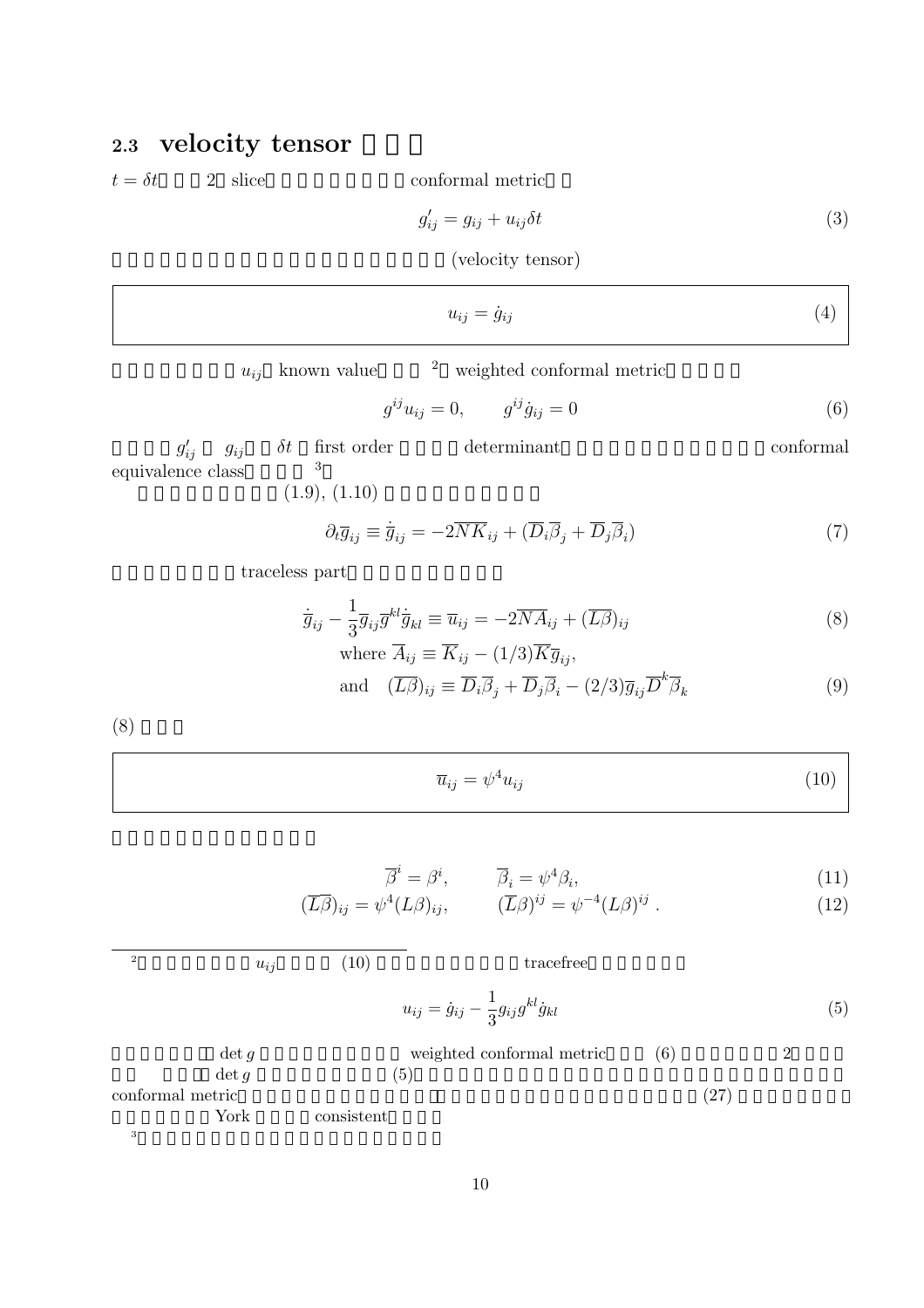# **2.3 velocity** tensor

 $t = \delta t$  2 slice conformal metric

$$
g'_{ij} = g_{ij} + u_{ij}\delta t \tag{3}
$$

 $(\text{velocity tensor})$ 

$$
u_{ij} = \dot{g}_{ij} \tag{4}
$$

 $u_{ij}$  known value  $u_{ij}$  weighted conformal metric

$$
g^{ij}u_{ij} = 0, \t g^{ij}\dot{g}_{ij} = 0 \t (6)
$$

 $g_i'$ equivalence class  $\delta t$  first order  $\hfill \text{determinant}$  conformal  $\hfill$  $(1.9), (1.10)$ 

$$
1.9),\, (1.10)
$$

$$
\partial_t \overline{g}_{ij} \equiv \dot{\overline{g}}_{ij} = -2\overline{NK}_{ij} + (\overline{D}_i \overline{\beta}_j + \overline{D}_j \overline{\beta}_i) \tag{7}
$$

traceless part

 $3<sub>5</sub>$ 

$$
\dot{\overline{g}}_{ij} - \frac{1}{3} \overline{g}_{ij} \overline{g}^{kl} \dot{\overline{g}}_{kl} \equiv \overline{u}_{ij} = -2 \overline{N} \overline{A}_{ij} + (\overline{L\beta})_{ij}
$$
\n
$$
\text{where } \overline{A} = \overline{K} \qquad (1/2) \overline{K} \overline{g}
$$
\n(8)

where 
$$
A_{ij} \equiv K_{ij} - (1/3)K g_{ij}
$$
,  
and  $(\overline{L}\overline{\beta})_{ij} \equiv \overline{D}_i \overline{\beta}_j + \overline{D}_j \overline{\beta}_i - (2/3) \overline{g}_{ij} \overline{D}^k \overline{\beta}_k$  (9)

 $(8)$ 

|  | $\overline{u}_{ij} = \psi^4 u_{ij}$ |  | (10) |
|--|-------------------------------------|--|------|
|--|-------------------------------------|--|------|

$$
\overline{\beta}^i = \beta^i, \qquad \overline{\beta}_i = \psi^4 \beta_i,
$$
\n(11)

$$
(\overline{L\beta})_{ij} = \psi^4 (L\beta)_{ij}, \qquad (\overline{L}\beta)^{ij} = \psi^{-4} (L\beta)^{ij} . \qquad (12)
$$

$$
u_{ij} \t\t (10)
$$
tracefree  
\n
$$
u_{ij} = \dot{g}_{ij} - \frac{1}{3} g_{ij} g^{kl} \dot{g}_{kl} \t\t (5)
$$
\n
$$
\det g \t\t\t weighted conformal metric \t\t (6)
$$
\n
$$
2
$$
\nconformal metric  
\nYork consistent \t\t(27)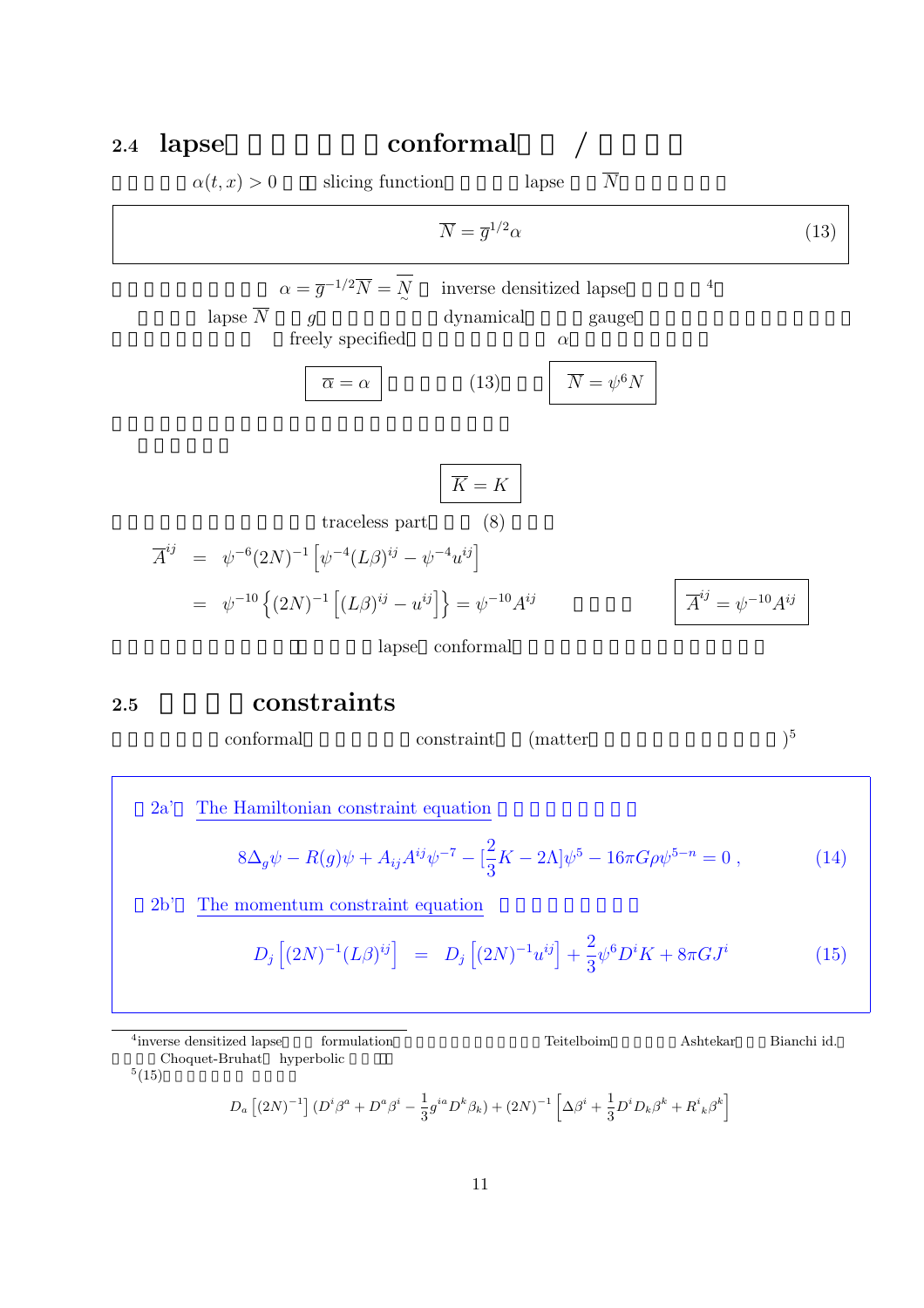| $2.4\,$ | lapse                |                                                                                                                                | conformal                                     |                                                |                                         |      |
|---------|----------------------|--------------------------------------------------------------------------------------------------------------------------------|-----------------------------------------------|------------------------------------------------|-----------------------------------------|------|
|         | $\alpha(t,x) > 0$    | slicing function                                                                                                               |                                               | $\overline{N}$<br>lapse                        |                                         |      |
|         |                      |                                                                                                                                | $\overline{N} = \overline{q}^{1/2} \alpha$    |                                                |                                         | (13) |
|         | lapse $\overline{N}$ | $\alpha = \overline{g}^{-1/2} \overline{N} = \overline{N}$<br>$\overline{q}$<br>freely specified<br>$\overline{\alpha}=\alpha$ | inverse densitized lapse<br>dynamical<br>(13) | gauge<br>$\alpha$<br>$\overline{N} = \psi^6 N$ | $\overline{4}$                          |      |
|         |                      | traceless part                                                                                                                 | $\overline{K} = K$<br>(8)                     |                                                |                                         |      |
|         |                      | $\overline{A}^{ij} = \psi^{-6} (2N)^{-1} \left[ \psi^{-4} (L\beta)^{ij} - \psi^{-4} u^{ij} \right]$                            |                                               |                                                |                                         |      |
|         |                      | $= \psi^{-10}\left\{ (2N)^{-1} \left[ (L\beta)^{ij} - u^{ij} \right] \right\} = \psi^{-10} A^{ij}$                             |                                               |                                                | $\overline{A}^{ij} = \psi^{-10} A^{ij}$ |      |
|         |                      | lapse                                                                                                                          | conformal                                     |                                                |                                         |      |

**2.5** 解くべき**constraints**

 $\text{conformal}$  constraint (matter  $)^5$  $2a'$  The Hamiltonian constraint equation  $8\Delta_g \psi - R(g)\psi + A_{ij}A^{ij}\psi^{-7} - \left[\frac{2}{3}\right]$  $\frac{2}{3}K - 2\Lambda \psi^5 - 16\pi G\rho \psi^{5-n} = 0$ , (14)  $2b'$  The momentum constraint equation  $D_j [(2N)^{-1} (L\beta)^{ij}] = D_j [(2N)^{-1} u^{ij}] +$ 2 3  $\psi^6 D^i K + 8\pi G J^i$  (15)

<sup>4</sup>inverse densitized lapse formulation **and Teitelboim** Ashtekar Bianchi id. Choquet-Bruhat hyperbolic  $^5(15)$ 

$$
D_a \left[ (2N)^{-1} \right] (D^i \beta^a + D^a \beta^i - \frac{1}{3} g^{ia} D^k \beta_k) + (2N)^{-1} \left[ \Delta \beta^i + \frac{1}{3} D^i D_k \beta^k + R^i{}_{k} \beta^k \right]
$$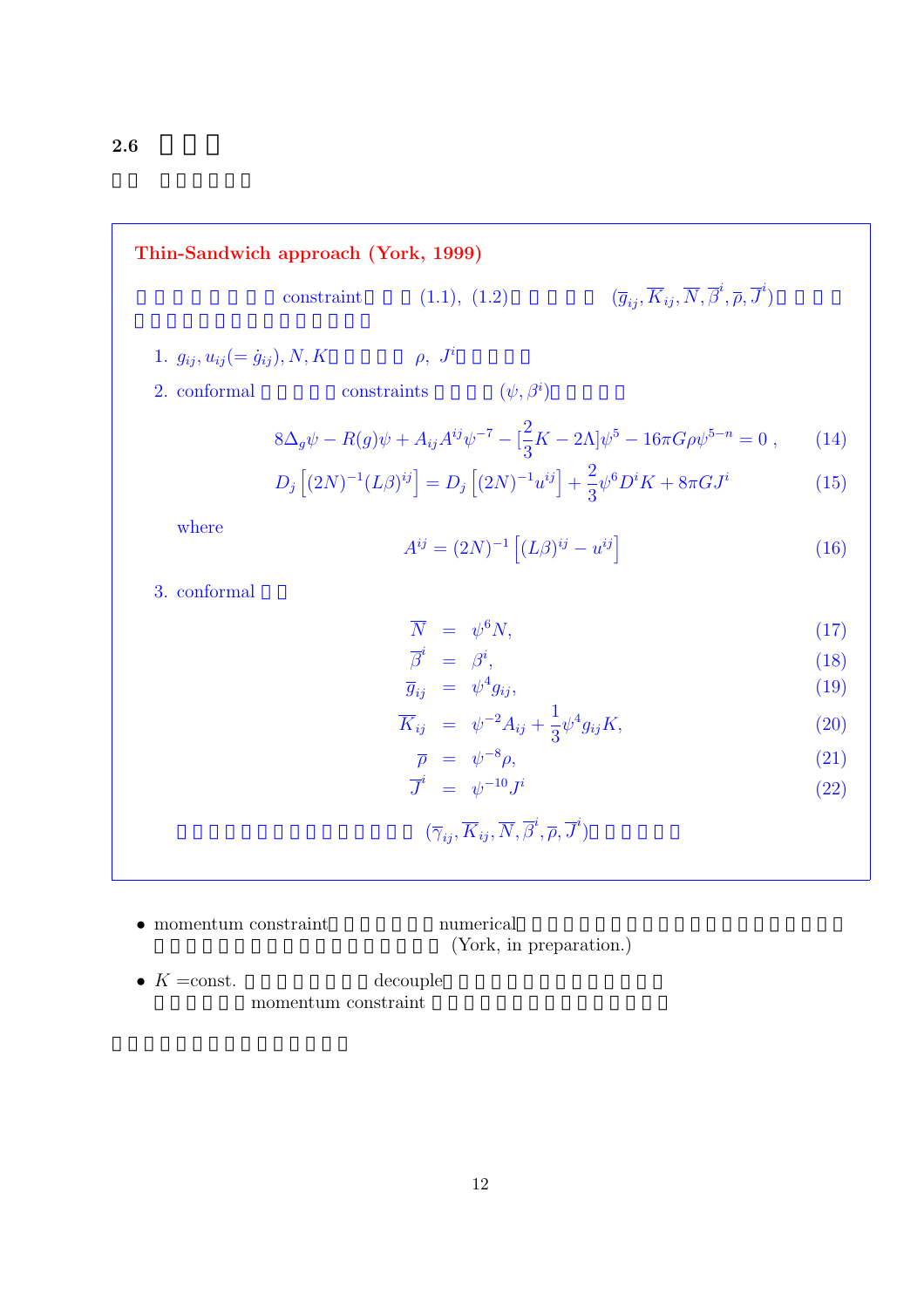**Thin-Sandwich approach (York, 1999)**

\nconstraint

\n(1.1), (1.2)

\n
$$
(\overline{g}_{ij}, \overline{K}_{ij}, \overline{N}, \overline{\beta}^i, \overline{p}, \overline{J}^i)
$$

\n1. 
$$
g_{ij}, u_{ij} (= \dot{g}_{ij}), N, K
$$

\n
$$
\rho, J^i
$$

\n2. conformal

\nconstraints

\n
$$
(\psi, \beta^i)
$$

\n
$$
8\Delta_g \psi - R(g)\psi + A_{ij}A^{ij}\psi^{-7} - \left[\frac{2}{3}K - 2\Lambda\right]\psi^5 - 16\pi G\rho\psi^{5-n} = 0,
$$

\n(14)

\n
$$
D_j \left[ (2N)^{-1} (L\beta)^{ij} \right] = D_j \left[ (2N)^{-1} u^{ij} \right] + \frac{2}{3} \psi^6 D^i K + 8\pi G J^i
$$

\nwhere

\n
$$
A^{ij} = (2N)^{-1} \left[ (L\beta)^{ij} - u^{ij} \right]
$$

\n3. conformal

\n
$$
\overline{N} = \psi^6 N,
$$

\n
$$
\overline{g}_i = \beta^i,
$$

\n
$$
\overline{g}_{ij} = \psi^4 g_{ij},
$$

\n
$$
\overline{K}_{ij} = \psi^{-2} A_{ij} + \frac{1}{3} \psi^4 g_{ij} K,
$$

\n(20)

\n
$$
\overline{T} = \psi^{-10} J^i
$$

\n
$$
(\overline{\gamma}_{ij}, \overline{K}_{ij}, \overline{N}, \overline{\beta}^i, \overline{p}, \overline{J}^i)
$$

\n(22)

- $\bullet$  momentum constraint  $\qquad \qquad \text{numerical}$ (York, in preparation.)
- $K = \text{const.}$  decouple momentum constraint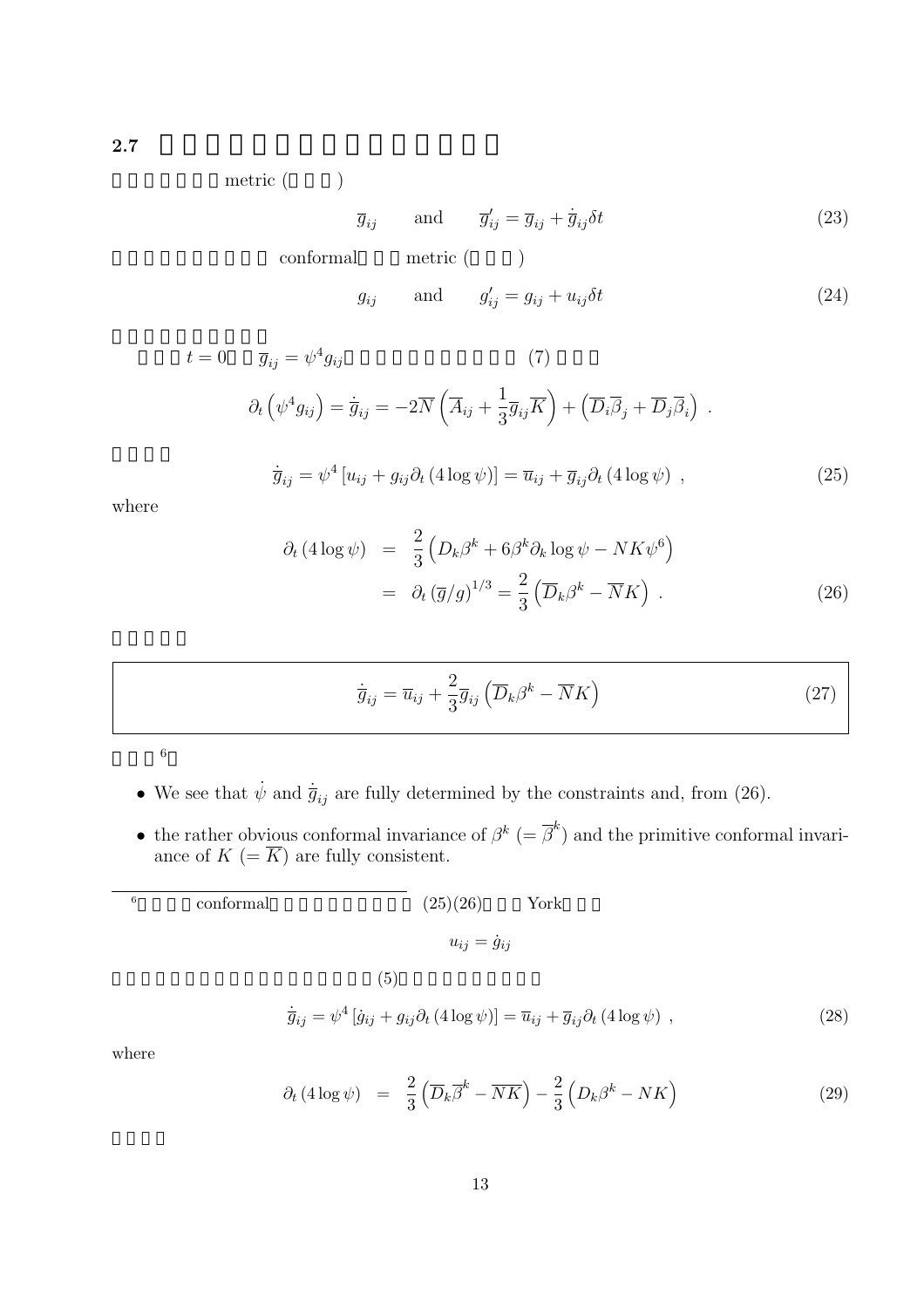**2.7 2.7** 

metric (U)

$$
\overline{g}_{ij} \quad \text{and} \quad \overline{g}'_{ij} = \overline{g}_{ij} + \dot{\overline{g}}_{ij}\delta t \tag{23}
$$

conformal metric ( )

$$
g_{ij} \qquad \text{and} \qquad g'_{ij} = g_{ij} + u_{ij} \delta t \tag{24}
$$

$$
t = 0 \qquad \overline{g}_{ij} = \psi^4 g_{ij} \qquad (7)
$$

$$
\partial_t \left( \psi^4 g_{ij} \right) = \dot{\overline{g}}_{ij} = -2 \overline{N} \left( \overline{A}_{ij} + \frac{1}{3} \overline{g}_{ij} \overline{K} \right) + \left( \overline{D}_i \overline{\beta}_j + \overline{D}_j \overline{\beta}_i \right) .
$$

$$
\dot{\overline{g}}_{ij} = \psi^4 \left[ u_{ij} + g_{ij} \partial_t (4 \log \psi) \right] = \overline{u}_{ij} + \overline{g}_{ij} \partial_t (4 \log \psi) , \qquad (25)
$$

where

$$
\partial_t (4 \log \psi) = \frac{2}{3} \left( D_k \beta^k + 6 \beta^k \partial_k \log \psi - NK \psi^6 \right)
$$
  
= 
$$
\partial_t (\overline{g}/g)^{1/3} = \frac{2}{3} \left( \overline{D}_k \beta^k - \overline{N} K \right) .
$$
 (26)

$$
\dot{\overline{g}}_{ij} = \overline{u}_{ij} + \frac{2}{3}\overline{g}_{ij} \left( \overline{D}_k \beta^k - \overline{N}K \right)
$$
 (27)

 $6\phantom{a}$ 

- We see that  $\dot{\psi}$  and  $\dot{\bar{g}}_{ij}$  are fully determined by the constraints and, from (26).
- the rather obvious conformal invariance of  $\beta^k$  (=  $\overline{\beta}^k$ ) and the primitive conformal invariance of  $K = \overline{K}$  are fully consistent.

| 6 | conformal | (25)(26)<br>York                                                                                                                                                    |      |
|---|-----------|---------------------------------------------------------------------------------------------------------------------------------------------------------------------|------|
|   |           | $u_{ij} = \dot{g}_{ij}$                                                                                                                                             |      |
|   |           | (5)                                                                                                                                                                 |      |
|   |           | $\dot{\overline{g}}_{ij} = \psi^4 \left[ \dot{g}_{ij} + g_{ij} \partial_t (4 \log \psi) \right] = \overline{u}_{ij} + \overline{g}_{ij} \partial_t (4 \log \psi)$ , | (28) |

where

$$
\partial_t (4 \log \psi) = \frac{2}{3} \left( \overline{D}_k \overline{\beta}^k - \overline{NK} \right) - \frac{2}{3} \left( D_k \beta^k - NK \right) \tag{29}
$$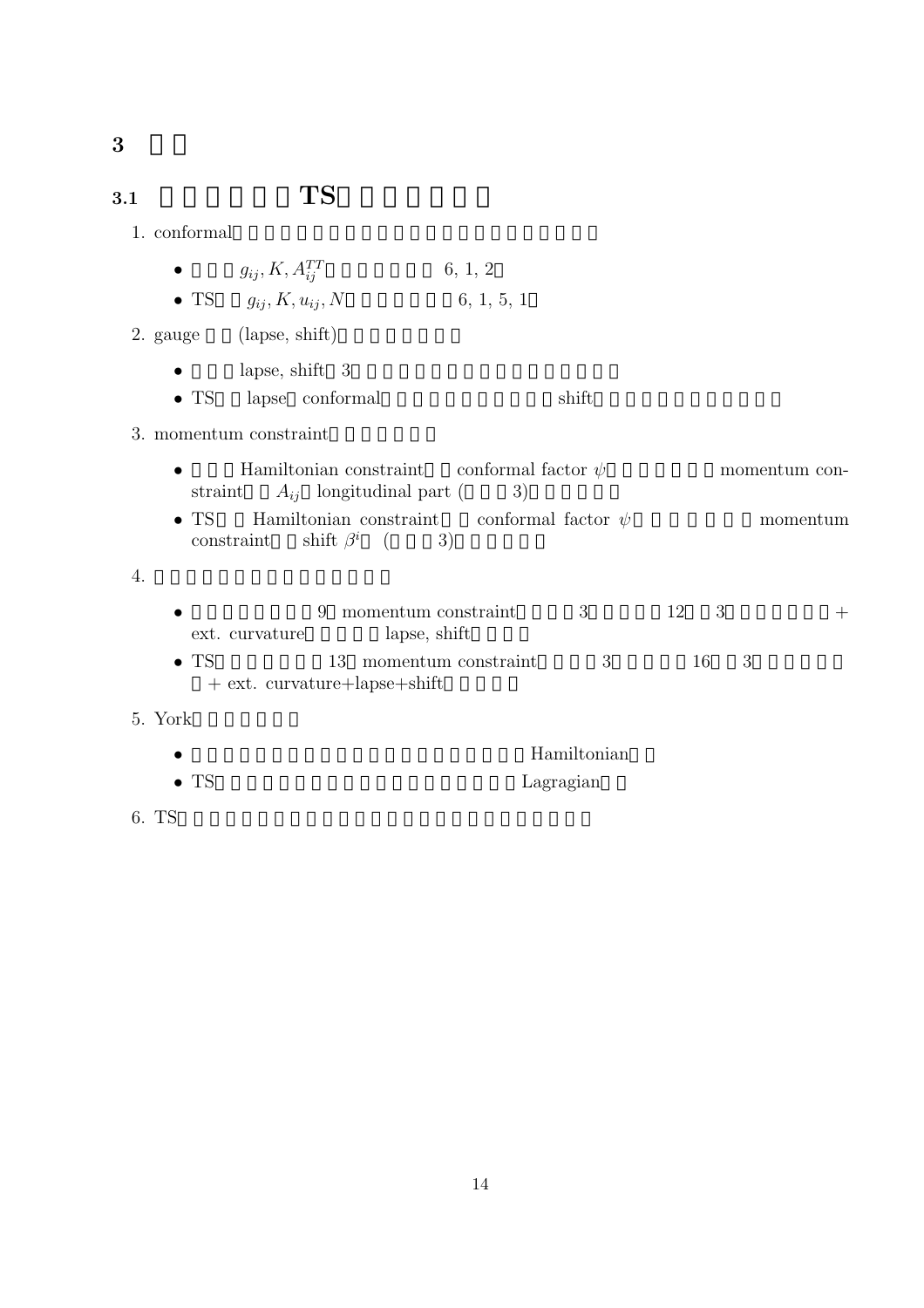## **3.1 TS**

|--|

|  | $g_{ij}, K, A_{ij}^{TT}$ | 6, 1, 2 |
|--|--------------------------|---------|
|--|--------------------------|---------|

• TS  $g_{ij}$ ,  $K, u_{ij}$ ,  $N$  6, 1, 5, 1

2. gauge (lapse, shift)

- lapse, shift  $3$
- TS  $\blacksquare$  lapse conformal shift

#### 3. momentum constraint

- Hamiltonian constraint  $\Box$ conformal factor  $\psi$  momentum constraint  $A_{ij}$  longitudinal part (achieved)
- TS . Hamiltonian constraint , conformal factor  $\psi$  momentum constraint shift  $\beta^i$  ( 3)

#### $4.$

|                | 9 momentum constraint  |  |  |  |  |
|----------------|------------------------|--|--|--|--|
| ext. curvature | lapse, shift           |  |  |  |  |
| $\bullet$ TS   | 13 momentum constraint |  |  |  |  |

 $+$  ext. curvature $+$ lapse $+$ shift

#### 5. York

|              | Hamiltonian |
|--------------|-------------|
| $\bullet$ TS | Lagragian   |

6. TS